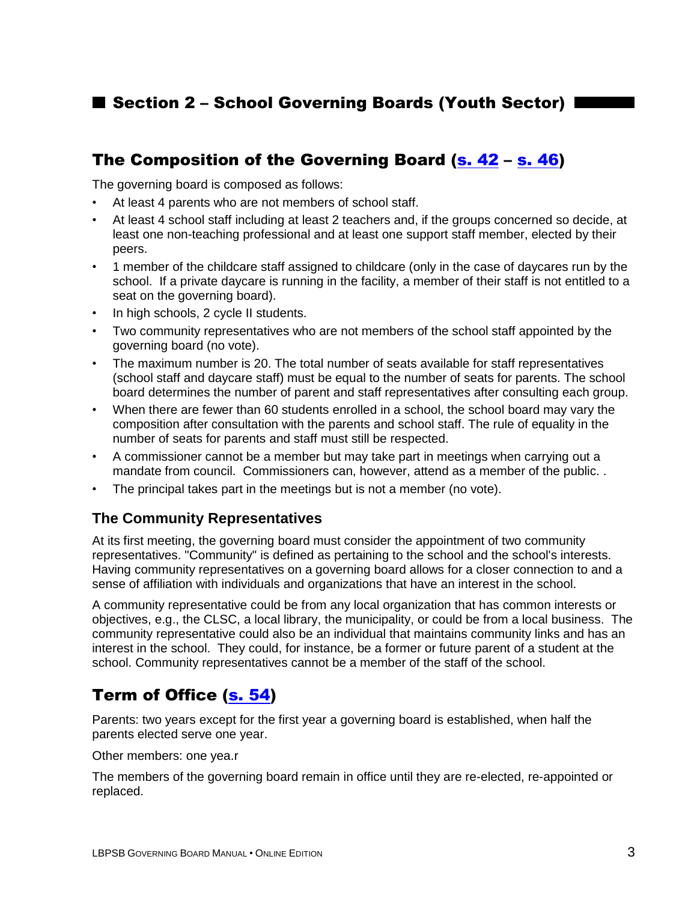### ■ Section 2 - School Governing Boards (Youth Sector) |

### The Composition of the Governing Board [\(s. 42](http://www2.publicationsduquebec.gouv.qc.ca/dynamicSearch/telecharge.php?type=2&file=/I_13_3/I13_3_A.html#s42) – [s. 46\)](http://www2.publicationsduquebec.gouv.qc.ca/dynamicSearch/telecharge.php?type=2&file=/I_13_3/I13_3_A.html#s46)

The governing board is composed as follows:

- At least 4 parents who are not members of school staff.
- At least 4 school staff including at least 2 teachers and, if the groups concerned so decide, at least one non-teaching professional and at least one support staff member, elected by their peers.
- 1 member of the childcare staff assigned to childcare (only in the case of daycares run by the school. If a private daycare is running in the facility, a member of their staff is not entitled to a seat on the governing board).
- In high schools, 2 cycle II students.
- Two community representatives who are not members of the school staff appointed by the governing board (no vote).
- The maximum number is 20. The total number of seats available for staff representatives (school staff and daycare staff) must be equal to the number of seats for parents. The school board determines the number of parent and staff representatives after consulting each group.
- When there are fewer than 60 students enrolled in a school, the school board may vary the composition after consultation with the parents and school staff. The rule of equality in the number of seats for parents and staff must still be respected.
- A commissioner cannot be a member but may take part in meetings when carrying out a mandate from council. Commissioners can, however, attend as a member of the public. .
- The principal takes part in the meetings but is not a member (no vote).

#### **The Community Representatives**

At its first meeting, the governing board must consider the appointment of two community representatives. "Community" is defined as pertaining to the school and the school's interests. Having community representatives on a governing board allows for a closer connection to and a sense of affiliation with individuals and organizations that have an interest in the school.

A community representative could be from any local organization that has common interests or objectives, e.g., the CLSC, a local library, the municipality, or could be from a local business. The community representative could also be an individual that maintains community links and has an interest in the school. They could, for instance, be a former or future parent of a student at the school. Community representatives cannot be a member of the staff of the school.

### Term of Office [\(s. 54\)](http://www2.publicationsduquebec.gouv.qc.ca/dynamicSearch/telecharge.php?type=2&file=/I_13_3/I13_3_A.html#s54)

Parents: two years except for the first year a governing board is established, when half the parents elected serve one year.

Other members: one yea.r

The members of the governing board remain in office until they are re-elected, re-appointed or replaced.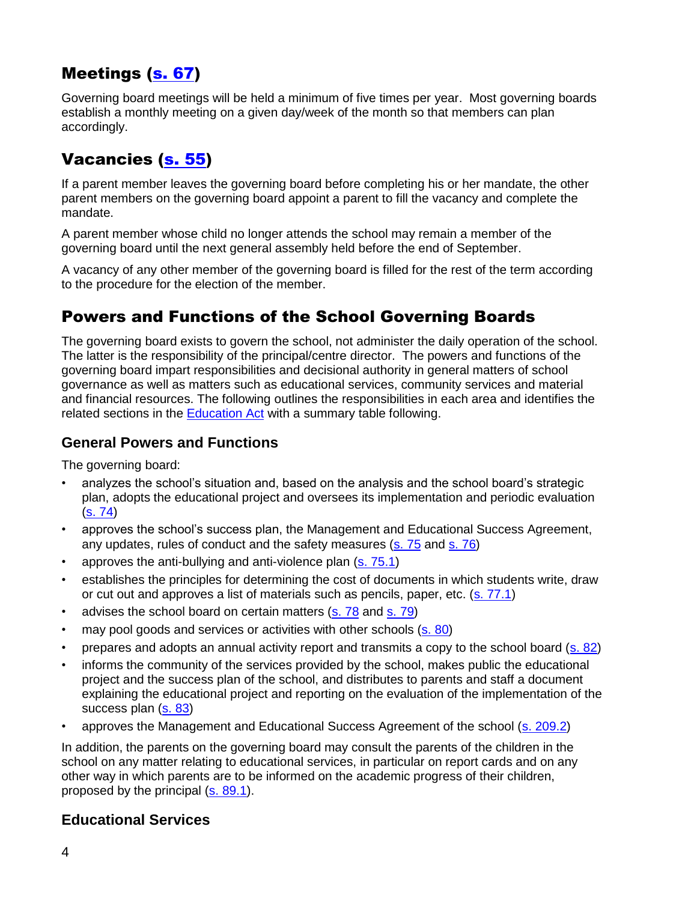# Meetings [\(s. 67\)](http://www2.publicationsduquebec.gouv.qc.ca/dynamicSearch/telecharge.php?type=2&file=/I_13_3/I13_3_A.html#s67)

Governing board meetings will be held a minimum of five times per year. Most governing boards establish a monthly meeting on a given day/week of the month so that members can plan accordingly.

## Vacancies [\(s. 55\)](http://www2.publicationsduquebec.gouv.qc.ca/dynamicSearch/telecharge.php?type=2&file=/I_13_3/I13_3_A.html#s55)

If a parent member leaves the governing board before completing his or her mandate, the other parent members on the governing board appoint a parent to fill the vacancy and complete the mandate.

A parent member whose child no longer attends the school may remain a member of the governing board until the next general assembly held before the end of September.

A vacancy of any other member of the governing board is filled for the rest of the term according to the procedure for the election of the member.

### Powers and Functions of the School Governing Boards

The governing board exists to govern the school, not administer the daily operation of the school. The latter is the responsibility of the principal/centre director. The powers and functions of the governing board impart responsibilities and decisional authority in general matters of school governance as well as matters such as educational services, community services and material and financial resources. The following outlines the responsibilities in each area and identifies the related sections in the [Education Act](http://www2.publicationsduquebec.gouv.qc.ca/dynamicSearch/telecharge.php?type=2&file=/I_13_3/I13_3_A.html) with a summary table following.

#### **General Powers and Functions**

The governing board:

- analyzes the school's situation and, based on the analysis and the school board's strategic plan, adopts the educational project and oversees its implementation and periodic evaluation  $(s. 74)$
- approves the school's success plan, the Management and Educational Success Agreement, any updates, rules of conduct and the safety measures [\(s. 75](http://www2.publicationsduquebec.gouv.qc.ca/dynamicSearch/telecharge.php?type=2&file=/I_13_3/I13_3_A.html#s75) and [s. 76\)](http://www2.publicationsduquebec.gouv.qc.ca/dynamicSearch/telecharge.php?type=2&file=/I_13_3/I13_3_A.html#s76)
- approves the anti-bullying and anti-violence plan [\(s. 75.1\)](http://www2.publicationsduquebec.gouv.qc.ca/dynamicSearch/telecharge.php?type=2&file=/I_13_3/I13_3_A.html#s75.1)
- establishes the principles for determining the cost of documents in which students write, draw or cut out and approves a list of materials such as pencils, paper, etc. [\(s. 77.1\)](http://www2.publicationsduquebec.gouv.qc.ca/dynamicSearch/telecharge.php?type=2&file=/I_13_3/I13_3_A.html#s77.1)
- advises the school board on certain matters [\(s. 78](http://www2.publicationsduquebec.gouv.qc.ca/dynamicSearch/telecharge.php?type=2&file=/I_13_3/I13_3_A.html#s78) and [s. 79\)](http://www2.publicationsduquebec.gouv.qc.ca/dynamicSearch/telecharge.php?type=2&file=/I_13_3/I13_3_A.html#s79)
- may pool goods and services or activities with other schools [\(s. 80\)](http://www2.publicationsduquebec.gouv.qc.ca/dynamicSearch/telecharge.php?type=2&file=/I_13_3/I13_3_A.html#s80)
- prepares and adopts an annual activity report and transmits a copy to the school board [\(s. 82\)](http://www2.publicationsduquebec.gouv.qc.ca/dynamicSearch/telecharge.php?type=2&file=/I_13_3/I13_3_A.html#s82)
- informs the community of the services provided by the school, makes public the educational project and the success plan of the school, and distributes to parents and staff a document explaining the educational project and reporting on the evaluation of the implementation of the success plan [\(s. 83\)](http://www2.publicationsduquebec.gouv.qc.ca/dynamicSearch/telecharge.php?type=2&file=/I_13_3/I13_3_A.html#s83)
- approves the Management and Educational Success Agreement of the school [\(s. 209.2\)](http://www2.publicationsduquebec.gouv.qc.ca/dynamicSearch/telecharge.php?type=2&file=/I_13_3/I13_3_A.html#s209.2)

In addition, the parents on the governing board may consult the parents of the children in the school on any matter relating to educational services, in particular on report cards and on any other way in which parents are to be informed on the academic progress of their children, proposed by the principal [\(s. 89.1\)](http://www2.publicationsduquebec.gouv.qc.ca/dynamicSearch/telecharge.php?type=2&file=/I_13_3/I13_3_A.html#s89.1).

#### **Educational Services**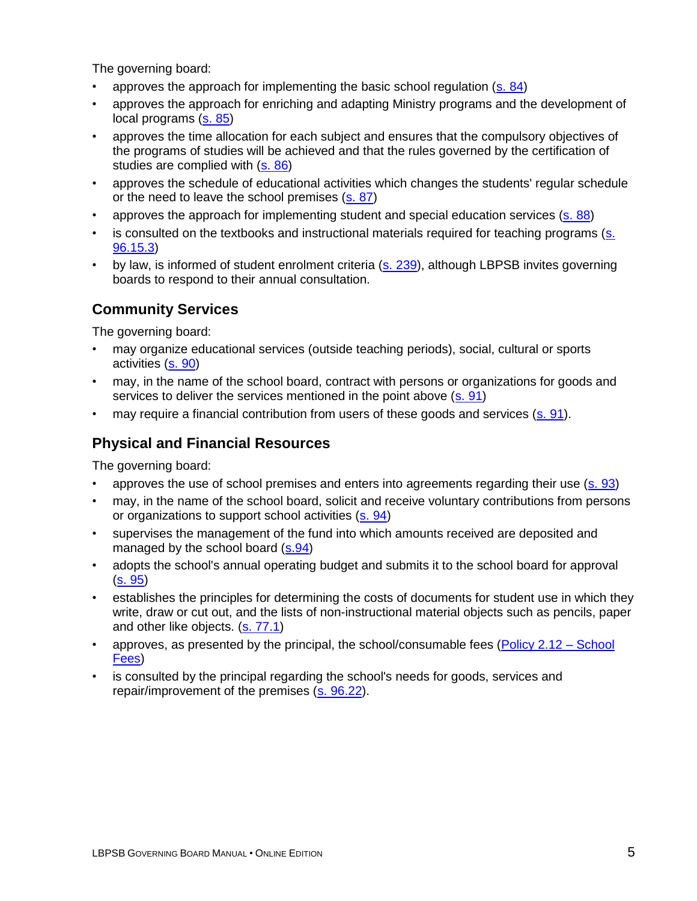The governing board:

- approves the approach for implementing the basic school regulation [\(s. 84\)](http://www2.publicationsduquebec.gouv.qc.ca/dynamicSearch/telecharge.php?type=2&file=/I_13_3/I13_3_A.html#s84)
- approves the approach for enriching and adapting Ministry programs and the development of local programs [\(s. 85\)](http://www2.publicationsduquebec.gouv.qc.ca/dynamicSearch/telecharge.php?type=2&file=/I_13_3/I13_3_A.html#s85)
- approves the time allocation for each subject and ensures that the compulsory objectives of the programs of studies will be achieved and that the rules governed by the certification of studies are complied with [\(s. 86\)](http://www2.publicationsduquebec.gouv.qc.ca/dynamicSearch/telecharge.php?type=2&file=/I_13_3/I13_3_A.html#s86)
- approves the schedule of educational activities which changes the students' regular schedule or the need to leave the school premises [\(s. 87\)](http://www2.publicationsduquebec.gouv.qc.ca/dynamicSearch/telecharge.php?type=2&file=/I_13_3/I13_3_A.html#s87)
- approves the approach for implementing student and special education services [\(s. 88\)](http://www2.publicationsduquebec.gouv.qc.ca/dynamicSearch/telecharge.php?type=2&file=/I_13_3/I13_3_A.html#s88)
- is consulted on the textbooks and instructional materials required for teaching programs (s. [96.15.3\)](http://www2.publicationsduquebec.gouv.qc.ca/dynamicSearch/telecharge.php?type=2&file=/I_13_3/I13_3_A.html#s96.15)
- by law, is informed of student enrolment criteria [\(s. 239\)](http://www2.publicationsduquebec.gouv.qc.ca/dynamicSearch/telecharge.php?type=2&file=/I_13_3/I13_3_A.html#s239), although LBPSB invites governing boards to respond to their annual consultation.

### **Community Services**

The governing board:

- may organize educational services (outside teaching periods), social, cultural or sports activities [\(s. 90\)](http://www2.publicationsduquebec.gouv.qc.ca/dynamicSearch/telecharge.php?type=2&file=/I_13_3/I13_3_A.html#s90)
- may, in the name of the school board, contract with persons or organizations for goods and services to deliver the services mentioned in the point above [\(s. 91\)](http://www2.publicationsduquebec.gouv.qc.ca/dynamicSearch/telecharge.php?type=2&file=/I_13_3/I13_3_A.html#s91)
- may require a financial contribution from users of these goods and services [\(s. 91\)](http://www2.publicationsduquebec.gouv.qc.ca/dynamicSearch/telecharge.php?type=2&file=/I_13_3/I13_3_A.html#s91).

### **Physical and Financial Resources**

The governing board:

- approves the use of school premises and enters into agreements regarding their use [\(s. 93\)](http://www2.publicationsduquebec.gouv.qc.ca/dynamicSearch/telecharge.php?type=2&file=/I_13_3/I13_3_A.html#s93)
- may, in the name of the school board, solicit and receive voluntary contributions from persons or organizations to support school activities [\(s. 94\)](http://www2.publicationsduquebec.gouv.qc.ca/dynamicSearch/telecharge.php?type=2&file=/I_13_3/I13_3_A.html#s94)
- supervises the management of the fund into which amounts received are deposited and managed by the school board [\(s.94\)](http://www2.publicationsduquebec.gouv.qc.ca/dynamicSearch/telecharge.php?type=2&file=/I_13_3/I13_3_A.html#s94)
- adopts the school's annual operating budget and submits it to the school board for approval  $(s. 95)$
- establishes the principles for determining the costs of documents for student use in which they write, draw or cut out, and the lists of non-instructional material objects such as pencils, paper and other like objects. [\(s. 77.1\)](http://www2.publicationsduquebec.gouv.qc.ca/dynamicSearch/telecharge.php?type=2&file=/I_13_3/I13_3_A.html#s77.1)
- approves, as presented by the principal, the school/consumable fees (Policy  $2.12$  School [Fees\)](http://www.lbpsb.qc.ca/eng/pdf/policies/School%20Fees.pdf)
- is consulted by the principal regarding the school's needs for goods, services and repair/improvement of the premises [\(s. 96.22\)](http://www2.publicationsduquebec.gouv.qc.ca/dynamicSearch/telecharge.php?type=2&file=/I_13_3/I13_3_A.html#s96.22).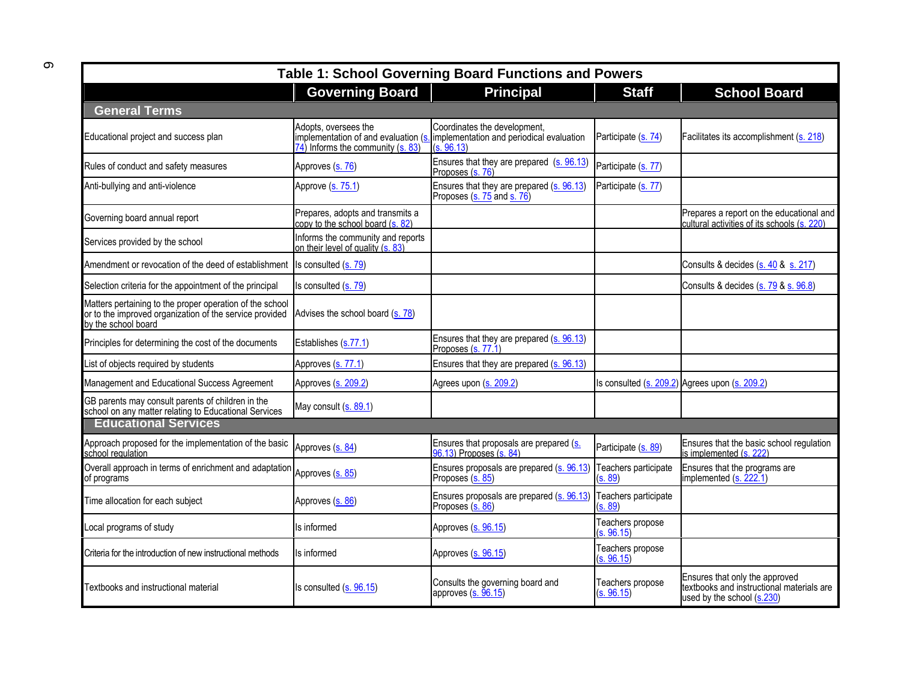| <b>Table 1: School Governing Board Functions and Powers</b>                                                                                |                                                                                                                |                                                                                        |                                |                                                                                                           |  |  |  |
|--------------------------------------------------------------------------------------------------------------------------------------------|----------------------------------------------------------------------------------------------------------------|----------------------------------------------------------------------------------------|--------------------------------|-----------------------------------------------------------------------------------------------------------|--|--|--|
|                                                                                                                                            | <b>Governing Board</b>                                                                                         | <b>Principal</b>                                                                       | <b>Staff</b>                   | <b>School Board</b>                                                                                       |  |  |  |
| <b>General Terms</b>                                                                                                                       |                                                                                                                |                                                                                        |                                |                                                                                                           |  |  |  |
| Educational project and success plan                                                                                                       | Adopts, oversees the<br>implementation of and evaluation (s<br>$\overline{74}$ ) Informs the community (s. 83) | Coordinates the development,<br>implementation and periodical evaluation<br>(s. 96.13) | Participate (s. 74)            | Facilitates its accomplishment (s. 218)                                                                   |  |  |  |
| Rules of conduct and safety measures                                                                                                       | Approves (s. 76)                                                                                               | Ensures that they are prepared (s. 96.13)<br>Proposes (s. 76)                          | Participate (s. 77)            |                                                                                                           |  |  |  |
| Anti-bullying and anti-violence                                                                                                            | Approve (s. 75.1)                                                                                              | Ensures that they are prepared (s. 96.13)<br>Proposes (s. 75 and s. 76)                | Participate (s. 77)            |                                                                                                           |  |  |  |
| Governing board annual report                                                                                                              | Prepares, adopts and transmits a<br>copy to the school board (s. 82)                                           |                                                                                        |                                | Prepares a report on the educational and<br>cultural activities of its schools (s. 220)                   |  |  |  |
| Services provided by the school                                                                                                            | Informs the community and reports<br>on their level of quality (s. 83)                                         |                                                                                        |                                |                                                                                                           |  |  |  |
| Amendment or revocation of the deed of establishment                                                                                       | Is consulted (s. 79)                                                                                           |                                                                                        |                                | Consults & decides (s. 40 & s. 217)                                                                       |  |  |  |
| Selection criteria for the appointment of the principal                                                                                    | Is consulted (s. 79)                                                                                           |                                                                                        |                                | Consults & decides (s. 79 & s. 96.8)                                                                      |  |  |  |
| Matters pertaining to the proper operation of the school<br>or to the improved organization of the service provided<br>by the school board | Advises the school board (s. 78)                                                                               |                                                                                        |                                |                                                                                                           |  |  |  |
| Principles for determining the cost of the documents                                                                                       | Establishes (s.77.1)                                                                                           | Ensures that they are prepared (s. 96.13)<br>Proposes (s. 77.1)                        |                                |                                                                                                           |  |  |  |
| List of objects required by students                                                                                                       | Approves (s. 77.1)                                                                                             | Ensures that they are prepared (s. 96.13)                                              |                                |                                                                                                           |  |  |  |
| Management and Educational Success Agreement                                                                                               | Approves (s. 209.2)                                                                                            | Agrees upon (s. 209.2)                                                                 |                                | Is consulted (s. 209.2) Agrees upon (s. 209.2)                                                            |  |  |  |
| GB parents may consult parents of children in the<br>school on any matter relating to Educational Services                                 | May consult (s. 89.1)                                                                                          |                                                                                        |                                |                                                                                                           |  |  |  |
| <b>Educational Services</b>                                                                                                                |                                                                                                                |                                                                                        |                                |                                                                                                           |  |  |  |
| Approach proposed for the implementation of the basic<br>school regulation                                                                 | Approves (s. 84)                                                                                               | Ensures that proposals are prepared (s.<br>06.13) Proposes (s. 84)                     | Participate (s. 89)            | Ensures that the basic school regulation<br>is implemented (s. 222)                                       |  |  |  |
| Overall approach in terms of enrichment and adaptation Approves (s. 85)<br>of programs                                                     |                                                                                                                | Ensures proposals are prepared (s. 96.13) Teachers participate<br>Proposes (s. 85)     | (s. 89)                        | Ensures that the programs are<br>implemented (s. 222.1)                                                   |  |  |  |
| Time allocation for each subject                                                                                                           | Approves (s. 86)                                                                                               | Ensures proposals are prepared (s. 96.13)<br>Proposes (s. 86)                          | Teachers participate<br>s. 89  |                                                                                                           |  |  |  |
| Local programs of study                                                                                                                    | Is informed                                                                                                    | Approves (s. 96.15)                                                                    | Teachers propose<br>(s. 96.15) |                                                                                                           |  |  |  |
| Criteria for the introduction of new instructional methods                                                                                 | Is informed                                                                                                    | Approves (s. 96.15)                                                                    | Teachers propose<br>(s. 96.15) |                                                                                                           |  |  |  |
| Textbooks and instructional material                                                                                                       | Is consulted (s. 96.15)                                                                                        | Consults the governing board and<br>approves $(s. 96.15)$                              | Teachers propose<br>(s. 96.15) | Ensures that only the approved<br>textbooks and instructional materials are<br>used by the school (s.230) |  |  |  |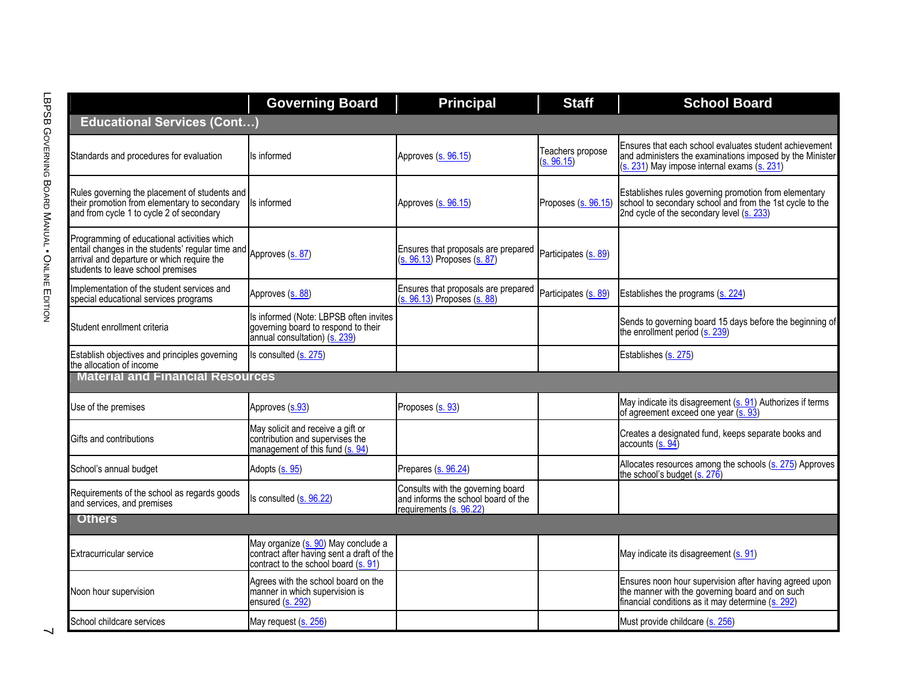|                                               |                                                                                                                                                                                                     | <b>Governing Board</b>                                                                                                   | <b>Principal</b>                                                                                    | <b>Staff</b>                   | <b>School Board</b>                                                                                                                                               |  |  |  |
|-----------------------------------------------|-----------------------------------------------------------------------------------------------------------------------------------------------------------------------------------------------------|--------------------------------------------------------------------------------------------------------------------------|-----------------------------------------------------------------------------------------------------|--------------------------------|-------------------------------------------------------------------------------------------------------------------------------------------------------------------|--|--|--|
|                                               | <b>Educational Services (Cont)</b>                                                                                                                                                                  |                                                                                                                          |                                                                                                     |                                |                                                                                                                                                                   |  |  |  |
| LBPSB GOVERNING BOARD MANUAL • ONLINE EDITION | Standards and procedures for evaluation                                                                                                                                                             | s informed                                                                                                               | Approves (s. 96.15)                                                                                 | Teachers propose<br>(s. 96.15) | Ensures that each school evaluates student achievement<br>and administers the examinations imposed by the Minister<br>(s. 231) May impose internal exams (s. 231) |  |  |  |
|                                               | Rules governing the placement of students and<br>their promotion from elementary to secondary<br>and from cycle 1 to cycle 2 of secondary                                                           | s informed                                                                                                               | Approves (s. 96.15)                                                                                 | Proposes (s. 96.15)            | Establishes rules governing promotion from elementary<br>school to secondary school and from the 1st cycle to the<br>2nd cycle of the secondary level (s. 233)    |  |  |  |
|                                               | Programming of educational activities which<br>entail changes in the students' regular time and Approves (s. 87)<br>arrival and departure or which require the<br>students to leave school premises |                                                                                                                          | Ensures that proposals are prepared<br>(s. 96.13) Proposes (s. 87)                                  | Participates (s. 89)           |                                                                                                                                                                   |  |  |  |
|                                               | Implementation of the student services and<br>special educational services programs                                                                                                                 | Approves (s. 88)                                                                                                         | Ensures that proposals are prepared<br>(s. 96.13) Proposes (s. 88)                                  | Participates (s. 89)           | Establishes the programs (s. 224)                                                                                                                                 |  |  |  |
|                                               | Student enrollment criteria                                                                                                                                                                         | Is informed (Note: LBPSB often invites<br>governing board to respond to their<br>annual consultation) (s. 239)           |                                                                                                     |                                | Sends to governing board 15 days before the beginning of<br>the enrollment period (s. 239)                                                                        |  |  |  |
|                                               | Establish objectives and principles governing<br>the allocation of income                                                                                                                           | Is consulted (s. 275)                                                                                                    |                                                                                                     |                                | Establishes (s. 275)                                                                                                                                              |  |  |  |
|                                               | <b>Material and Financial Resources</b>                                                                                                                                                             |                                                                                                                          |                                                                                                     |                                |                                                                                                                                                                   |  |  |  |
|                                               | Use of the premises                                                                                                                                                                                 | Approves (s.93)                                                                                                          | Proposes (s. 93)                                                                                    |                                | May indicate its disagreement (s. 91) Authorizes if terms<br>of agreement exceed one year $(s. 93)$                                                               |  |  |  |
|                                               | Gifts and contributions                                                                                                                                                                             | May solicit and receive a gift or<br>contribution and supervises the<br>management of this fund (s. 94)                  |                                                                                                     |                                | Creates a designated fund, keeps separate books and<br>accounts $(s. 94)$                                                                                         |  |  |  |
|                                               | School's annual budget                                                                                                                                                                              | Adopts (s. 95)                                                                                                           | Prepares (s. 96.24)                                                                                 |                                | Allocates resources among the schools (s. 275) Approves<br>the school's budget (s. 276)                                                                           |  |  |  |
|                                               | Requirements of the school as regards goods<br>and services, and premises                                                                                                                           | Is consulted (s. 96.22)                                                                                                  | Consults with the governing board<br>and informs the school board of the<br>requirements (s. 96.22) |                                |                                                                                                                                                                   |  |  |  |
|                                               | <b>Others</b>                                                                                                                                                                                       |                                                                                                                          |                                                                                                     |                                |                                                                                                                                                                   |  |  |  |
|                                               | Extracurricular service                                                                                                                                                                             | May organize (s. 90) May conclude a<br>contract after having sent a draft of the<br>contract to the school board (s. 91) |                                                                                                     |                                | May indicate its disagreement (s. 91)                                                                                                                             |  |  |  |
|                                               | Noon hour supervision                                                                                                                                                                               | Agrees with the school board on the<br>manner in which supervision is<br>ensured (s. 292)                                |                                                                                                     |                                | Ensures noon hour supervision after having agreed upon<br>the manner with the governing board and on such<br>financial conditions as it may determine $(s. 292)$  |  |  |  |
| ↘                                             | School childcare services                                                                                                                                                                           | May request (s. 256)                                                                                                     |                                                                                                     |                                | Must provide childcare (s. 256)                                                                                                                                   |  |  |  |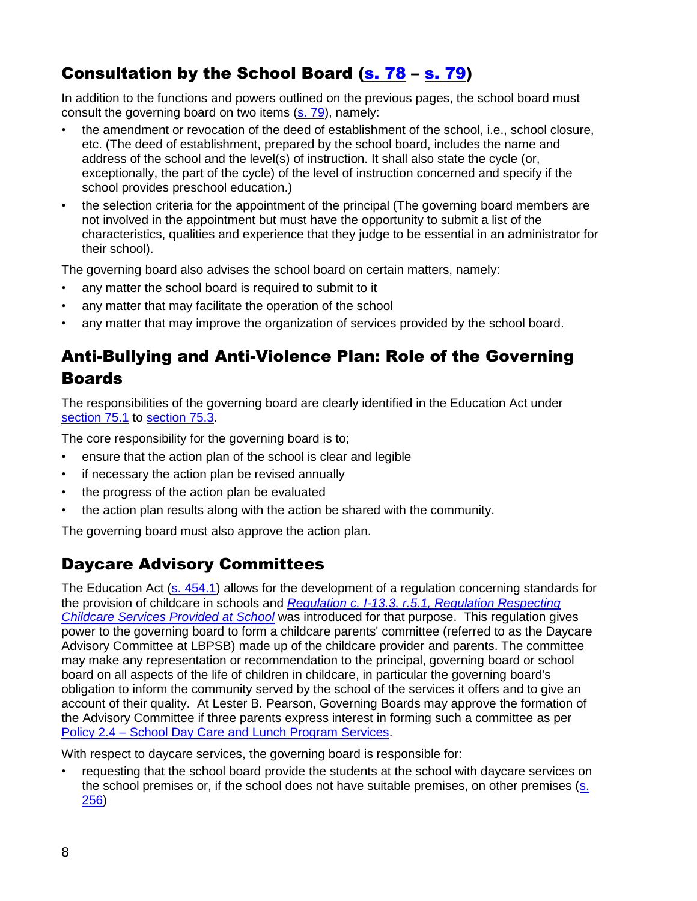# Consultation by the School Board [\(s. 78](http://www2.publicationsduquebec.gouv.qc.ca/dynamicSearch/telecharge.php?type=2&file=/I_13_3/I13_3_A.html#s78) – [s. 79\)](http://www2.publicationsduquebec.gouv.qc.ca/dynamicSearch/telecharge.php?type=2&file=/I_13_3/I13_3_A.html#s79)

In addition to the functions and powers outlined on the previous pages, the school board must consult the governing board on two items (s. [79\)](http://www2.publicationsduquebec.gouv.qc.ca/dynamicSearch/telecharge.php?type=2&file=/I_13_3/I13_3_A.html#s79), namely:

- the amendment or revocation of the deed of establishment of the school, i.e., school closure, etc. (The deed of establishment, prepared by the school board, includes the name and address of the school and the level(s) of instruction. It shall also state the cycle (or, exceptionally, the part of the cycle) of the level of instruction concerned and specify if the school provides preschool education.)
- the selection criteria for the appointment of the principal (The governing board members are not involved in the appointment but must have the opportunity to submit a list of the characteristics, qualities and experience that they judge to be essential in an administrator for their school).

The governing board also advises the school board on certain matters, namely:

- any matter the school board is required to submit to it
- any matter that may facilitate the operation of the school
- any matter that may improve the organization of services provided by the school board.

## Anti-Bullying and Anti-Violence Plan: Role of the Governing **Boards**

The responsibilities of the governing board are clearly identified in the Education Act under [section 75.1](http://www2.publicationsduquebec.gouv.qc.ca/dynamicSearch/telecharge.php?type=2&file=/I_13_3/I13_3_A.html#s75.1) to [section 75.3.](http://www2.publicationsduquebec.gouv.qc.ca/dynamicSearch/telecharge.php?type=2&file=/I_13_3/I13_3_A.html#s75.3)

The core responsibility for the governing board is to;

- ensure that the action plan of the school is clear and legible
- if necessary the action plan be revised annually
- the progress of the action plan be evaluated
- the action plan results along with the action be shared with the community.

The governing board must also approve the action plan.

### Daycare Advisory Committees

The Education Act [\(s. 454.1\)](http://www2.publicationsduquebec.gouv.qc.ca/dynamicSearch/telecharge.php?type=2&file=/I_13_3/I13_3_A.html#s454.1) allows for the development of a regulation concerning standards for the provision of childcare in schools and *[Regulation c. I-13.3, r.5.1, Regulation Respecting](http://www2.publicationsduquebec.gouv.qc.ca/dynamicSearch/telecharge.php?type=3&file=/I_13_3/I13_3R11_A.HTM)  [Childcare Services Provided at School](http://www2.publicationsduquebec.gouv.qc.ca/dynamicSearch/telecharge.php?type=3&file=/I_13_3/I13_3R11_A.HTM)* was introduced for that purpose. This regulation gives power to the governing board to form a childcare parents' committee (referred to as the Daycare Advisory Committee at LBPSB) made up of the childcare provider and parents. The committee may make any representation or recommendation to the principal, governing board or school board on all aspects of the life of children in childcare, in particular the governing board's obligation to inform the community served by the school of the services it offers and to give an account of their quality. At Lester B. Pearson, Governing Boards may approve the formation of the Advisory Committee if three parents express interest in forming such a committee as per Policy 2.4 – [School Day Care and Lunch Program Services.](http://www.lbpsb.qc.ca/content/policies/DaycarePolicy2.4_Sept_22_08_EN.pdf)

With respect to daycare services, the governing board is responsible for:

• requesting that the school board provide the students at the school with daycare services on the school premises or, if the school does not have suitable premises, on other premises [\(s.](http://www2.publicationsduquebec.gouv.qc.ca/dynamicSearch/telecharge.php?type=2&file=/I_13_3/I13_3_A.html#s256)  [256\)](http://www2.publicationsduquebec.gouv.qc.ca/dynamicSearch/telecharge.php?type=2&file=/I_13_3/I13_3_A.html#s256)